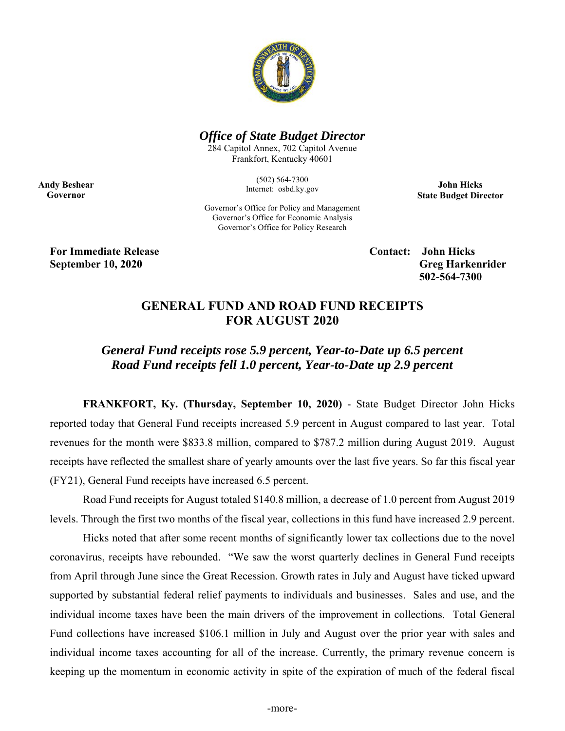

### *Office of State Budget Director*

284 Capitol Annex, 702 Capitol Avenue Frankfort, Kentucky 40601

> (502) 564-7300 Internet: osbd.ky.gov

**John Hicks State Budget Director** 

Governor's Office for Policy and Management Governor's Office for Economic Analysis Governor's Office for Policy Research

**For Immediate Release Contact: Solid Hicks Contact: Solid Hicks** 

**Andy Beshear Governor** 

> **September 10, 2020** Greg Harkenrider **Greg Harkenrider Greg Harkenrider Greg Harkenrider 502-564-7300**

## **GENERAL FUND AND ROAD FUND RECEIPTS FOR AUGUST 2020**

# *General Fund receipts rose 5.9 percent, Year-to-Date up 6.5 percent Road Fund receipts fell 1.0 percent, Year-to-Date up 2.9 percent*

**FRANKFORT, Ky. (Thursday, September 10, 2020)** - State Budget Director John Hicks reported today that General Fund receipts increased 5.9 percent in August compared to last year. Total revenues for the month were \$833.8 million, compared to \$787.2 million during August 2019. August receipts have reflected the smallest share of yearly amounts over the last five years. So far this fiscal year (FY21), General Fund receipts have increased 6.5 percent.

Road Fund receipts for August totaled \$140.8 million, a decrease of 1.0 percent from August 2019 levels. Through the first two months of the fiscal year, collections in this fund have increased 2.9 percent.

Hicks noted that after some recent months of significantly lower tax collections due to the novel coronavirus, receipts have rebounded. "We saw the worst quarterly declines in General Fund receipts from April through June since the Great Recession. Growth rates in July and August have ticked upward supported by substantial federal relief payments to individuals and businesses. Sales and use, and the individual income taxes have been the main drivers of the improvement in collections. Total General Fund collections have increased \$106.1 million in July and August over the prior year with sales and individual income taxes accounting for all of the increase. Currently, the primary revenue concern is keeping up the momentum in economic activity in spite of the expiration of much of the federal fiscal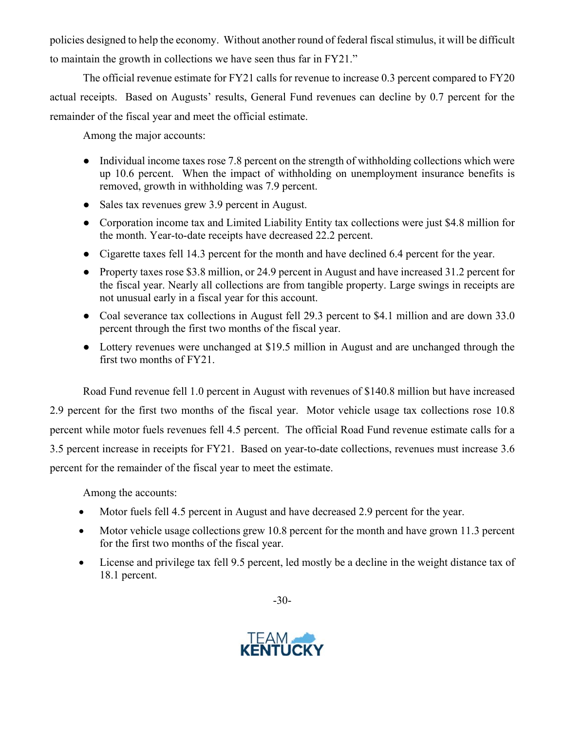policies designed to help the economy. Without another round of federal fiscal stimulus, it will be difficult to maintain the growth in collections we have seen thus far in FY21."

The official revenue estimate for FY21 calls for revenue to increase 0.3 percent compared to FY20 actual receipts. Based on Augusts' results, General Fund revenues can decline by 0.7 percent for the remainder of the fiscal year and meet the official estimate.

Among the major accounts:

- Individual income taxes rose 7.8 percent on the strength of withholding collections which were up 10.6 percent. When the impact of withholding on unemployment insurance benefits is removed, growth in withholding was 7.9 percent.
- Sales tax revenues grew 3.9 percent in August.
- Corporation income tax and Limited Liability Entity tax collections were just \$4.8 million for the month. Year-to-date receipts have decreased 22.2 percent.
- Cigarette taxes fell 14.3 percent for the month and have declined 6.4 percent for the year.
- Property taxes rose \$3.8 million, or 24.9 percent in August and have increased 31.2 percent for the fiscal year. Nearly all collections are from tangible property. Large swings in receipts are not unusual early in a fiscal year for this account.
- Coal severance tax collections in August fell 29.3 percent to \$4.1 million and are down 33.0 percent through the first two months of the fiscal year.
- Lottery revenues were unchanged at \$19.5 million in August and are unchanged through the first two months of FY21.

Road Fund revenue fell 1.0 percent in August with revenues of \$140.8 million but have increased 2.9 percent for the first two months of the fiscal year. Motor vehicle usage tax collections rose 10.8 percent while motor fuels revenues fell 4.5 percent. The official Road Fund revenue estimate calls for a 3.5 percent increase in receipts for FY21. Based on year-to-date collections, revenues must increase 3.6 percent for the remainder of the fiscal year to meet the estimate.

Among the accounts:

- Motor fuels fell 4.5 percent in August and have decreased 2.9 percent for the year.
- Motor vehicle usage collections grew 10.8 percent for the month and have grown 11.3 percent for the first two months of the fiscal year.
- License and privilege tax fell 9.5 percent, led mostly be a decline in the weight distance tax of 18.1 percent.

-30-

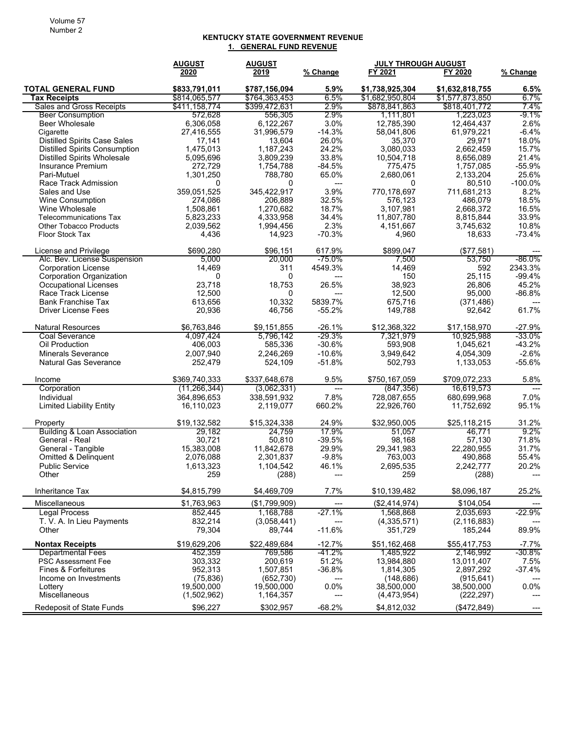#### **KENTUCKY STATE GOVERNMENT REVENUE 1. GENERAL FUND REVENUE**

|                                        | <b>AUGUST</b>  | <b>AUGUST</b> |          | <b>JULY THROUGH AUGUST</b> |                 |            |
|----------------------------------------|----------------|---------------|----------|----------------------------|-----------------|------------|
|                                        | 2020           | 2019          | % Change | FY 2021                    | FY 2020         | % Change   |
| <b>TOTAL GENERAL FUND</b>              | \$833,791,011  | \$787,156,094 | 5.9%     | \$1,738,925,304            | \$1,632,818,755 | 6.5%       |
| <b>Tax Receipts</b>                    | \$814,065,577  | \$764,363,453 | 6.5%     | \$1,682,950,804            | \$1,577,873,850 | 6.7%       |
| Sales and Gross Receipts               | \$411.158.774  | \$399,472,631 | 2.9%     | \$878,841,863              | \$818,401,772   | 7.4%       |
| <b>Beer Consumption</b>                | 572,628        | 556,305       | 2.9%     | 1,111,801                  | 1,223,023       | -9.1%      |
| <b>Beer Wholesale</b>                  | 6,306,058      | 6,122,267     | 3.0%     | 12,785,390                 | 12,464,437      | 2.6%       |
| Cigarette                              | 27,416,555     | 31,996,579    | $-14.3%$ | 58,041,806                 | 61,979,221      | $-6.4%$    |
| <b>Distilled Spirits Case Sales</b>    | 17,141         | 13,604        | 26.0%    | 35,370                     | 29,971          | 18.0%      |
| <b>Distilled Spirits Consumption</b>   | 1,475,013      | 1,187,243     | 24.2%    | 3,080,033                  | 2,662,459       | 15.7%      |
| <b>Distilled Spirits Wholesale</b>     | 5,095,696      | 3,809,239     | 33.8%    | 10,504,718                 | 8,656,089       | 21.4%      |
| Insurance Premium                      | 272,729        | 1,754,788     | $-84.5%$ | 775,475                    | 1,757,085       | $-55.9%$   |
| Pari-Mutuel                            | 1,301,250      | 788,780       | 65.0%    | 2,680,061                  | 2,133,204       | 25.6%      |
| Race Track Admission                   | 0              | 0             | ---      | 0                          | 80,510          | $-100.0\%$ |
| Sales and Use                          | 359.051.525    | 345,422,917   | 3.9%     | 770.178.697                | 711,681,213     | 8.2%       |
| <b>Wine Consumption</b>                | 274,086        | 206,889       | 32.5%    | 576,123                    | 486,079         | 18.5%      |
| Wine Wholesale                         | 1,508,861      | 1,270,682     | 18.7%    | 3,107,981                  | 2,668,372       | 16.5%      |
| <b>Telecommunications Tax</b>          | 5,823,233      | 4,333,958     | 34.4%    | 11,807,780                 | 8,815,844       | 33.9%      |
| <b>Other Tobacco Products</b>          | 2,039,562      | 1,994,456     | 2.3%     | 4,151,667                  | 3,745,632       | 10.8%      |
| Floor Stock Tax                        | 4,436          | 14,923        | $-70.3%$ | 4,960                      | 18,633          | $-73.4%$   |
| License and Privilege                  | \$690,280      | \$96,151      | 617.9%   | \$899,047                  | (S77.581)       |            |
| Alc. Bev. License Suspension           | 5,000          | 20,000        | -75.0%   | 7,500                      | 53,750          | $-86.0%$   |
| <b>Corporation License</b>             | 14,469         | 311           | 4549.3%  | 14,469                     | 592             | 2343.3%    |
| Corporation Organization               | 0              | 0             | ---      | 150                        | 25,115          | $-99.4%$   |
| <b>Occupational Licenses</b>           | 23,718         | 18,753        | 26.5%    | 38,923                     | 26,806          | 45.2%      |
| Race Track License                     | 12,500         | 0             |          | 12,500                     | 95,000          | $-86.8%$   |
| <b>Bank Franchise Tax</b>              | 613,656        | 10,332        | 5839.7%  | 675,716                    | (371, 486)      |            |
| <b>Driver License Fees</b>             | 20,936         | 46,756        | $-55.2%$ | 149,788                    | 92,642          | 61.7%      |
| <b>Natural Resources</b>               | \$6,763,846    | \$9.151.855   | $-26.1%$ | \$12,368,322               | \$17,158,970    | $-27.9%$   |
| <b>Coal Severance</b>                  | 4,097,424      | 5,796,142     | $-29.3%$ | 7,321,979                  | 10,925,988      | -33.0%     |
| Oil Production                         | 406,003        | 585,336       | $-30.6%$ | 593,908                    | 1,045,621       | $-43.2%$   |
| <b>Minerals Severance</b>              | 2,007,940      | 2,246,269     | $-10.6%$ | 3,949,642                  | 4,054,309       | $-2.6%$    |
| <b>Natural Gas Severance</b>           | 252,479        | 524,109       | $-51.8%$ | 502,793                    | 1,133,053       | $-55.6%$   |
| Income                                 | \$369,740,333  | \$337,648,678 | 9.5%     | \$750,167,059              | \$709,072,233   | 5.8%       |
| Corporation                            | (11, 266, 344) | (3,062,331)   | $---$    | (847, 356)                 | 16,619,573      | $---$      |
| Individual                             | 364,896,653    | 338,591,932   | 7.8%     | 728,087,655                | 680,699,968     | 7.0%       |
| <b>Limited Liability Entity</b>        | 16,110,023     | 2,119,077     | 660.2%   | 22,926,760                 | 11,752,692      | 95.1%      |
| Property                               | \$19,132,582   | \$15,324,338  | 24.9%    | \$32,950,005               | \$25,118,215    | 31.2%      |
| <b>Building &amp; Loan Association</b> | 29,182         | 24.759        | 17.9%    | 51,057                     | 46,771          | $9.2\%$    |
| General - Real                         | 30,721         | 50,810        | $-39.5%$ | 98,168                     | 57,130          | 71.8%      |
| General - Tangible                     | 15,383,008     | 11,842,678    | 29.9%    | 29,341,983                 | 22,280,955      | 31.7%      |
| Omitted & Delinquent                   | 2,076,088      | 2,301,837     | $-9.8%$  | 763,003                    | 490,868         | 55.4%      |
| <b>Public Service</b>                  | 1,613,323      | 1,104,542     | 46.1%    | 2,695,535                  | 2,242,777       | 20.2%      |
| Other                                  | 259            | (288)         | ---      | 259                        | (288)           | ---        |
| Inheritance Tax                        | \$4,815,799    | \$4,469,709   | 7.7%     | \$10,139,482               | \$8,096,187     | 25.2%      |
| Miscellaneous                          | \$1,763,963    | (\$1,799,909) | ---      | (\$2,414,974)              | \$104,054       |            |
| <b>Legal Process</b>                   | 852,445        | 1,168,788     | $-27.1%$ | 1,568,868                  | 2,035,693       | $-22.9%$   |
| T. V. A. In Lieu Payments              | 832,214        | (3,058,441)   |          | (4,335,571)                | (2, 116, 883)   |            |
| Other                                  | 79,304         | 89,744        | $-11.6%$ | 351,729                    | 185,244         | 89.9%      |
| <b>Nontax Receipts</b>                 | \$19,629,206   | \$22,489,684  | $-12.7%$ | \$51,162,468               | \$55,417,753    | $-7.7%$    |
| <b>Departmental Fees</b>               | 452,359        | 769,586       | -41.2%   | 1,485,922                  | 2,146,992       | $-30.8\%$  |
| <b>PSC Assessment Fee</b>              | 303,332        | 200,619       | 51.2%    | 13,984,880                 | 13,011,407      | 7.5%       |
| Fines & Forfeitures                    | 952,313        | 1,507,851     | $-36.8%$ | 1,814,305                  | 2,897,292       | $-37.4%$   |
| Income on Investments                  | (75, 836)      | (652, 730)    |          | (148, 686)                 | (915, 641)      |            |
| Lottery                                | 19,500,000     | 19,500,000    | 0.0%     | 38,500,000                 | 38,500,000      | $0.0\%$    |
| Miscellaneous                          | (1,502,962)    | 1,164,357     | ---      | (4,473,954)                | (222, 297)      |            |
| Redeposit of State Funds               | \$96,227       | \$302,957     | $-68.2%$ | \$4,812,032                | (\$472,849)     |            |